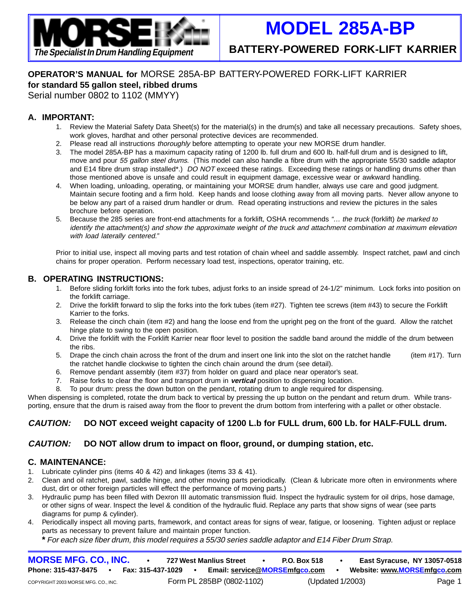

# **MODEL 285A-BP**

**The Specialist In Drum Handling Equipment BATTERY-POWERED FORK-LIFT KARRIER**

# **OPERATOR'S MANUAL for** MORSE 285A-BP BATTERY-POWERED FORK-LIFT KARRIER **for standard 55 gallon steel, ribbed drums**

Serial number 0802 to 1102 (MMYY)

### **A. IMPORTANT:**

- 1. Review the Material Safety Data Sheet(s) for the material(s) in the drum(s) and take all necessary precautions. Safety shoes, work gloves, hardhat and other personal protective devices are recommended.
- 2. Please read all instructions thoroughly before attempting to operate your new MORSE drum handler.
- 3. The model 285A-BP has a maximum capacity rating of 1200 lb. full drum and 600 lb. half-full drum and is designed to lift, move and pour 55 gallon steel drums. (This model can also handle a fibre drum with the appropriate 55/30 saddle adaptor and E14 fibre drum strap installed\*.) DO NOT exceed these ratings. Exceeding these ratings or handling drums other than those mentioned above is unsafe and could result in equipment damage, excessive wear or awkward handling.
- 4. When loading, unloading, operating, or maintaining your MORSE drum handler, always use care and good judgment. Maintain secure footing and a firm hold. Keep hands and loose clothing away from all moving parts. Never allow anyone to be below any part of a raised drum handler or drum. Read operating instructions and review the pictures in the sales brochure before operation.
- 5. Because the 285 series are front-end attachments for a forklift, OSHA recommends "… the truck (forklift) be marked to identify the attachment(s) and show the approximate weight of the truck and attachment combination at maximum elevation with load laterally centered."

Prior to initial use, inspect all moving parts and test rotation of chain wheel and saddle assembly. Inspect ratchet, pawl and cinch chains for proper operation. Perform necessary load test, inspections, operator training, etc.

### **B. OPERATING INSTRUCTIONS:**

- 1. Before sliding forklift forks into the fork tubes, adjust forks to an inside spread of 24-1/2" minimum. Lock forks into position on the forklift carriage.
- 2. Drive the forklift forward to slip the forks into the fork tubes (item #27). Tighten tee screws (item #43) to secure the Forklift Karrier to the forks.
- 3. Release the cinch chain (item #2) and hang the loose end from the upright peg on the front of the guard. Allow the ratchet hinge plate to swing to the open position.
- 4. Drive the forklift with the Forklift Karrier near floor level to position the saddle band around the middle of the drum between the ribs.
- 5. Drape the cinch chain across the front of the drum and insert one link into the slot on the ratchet handle (item #17). Turn the ratchet handle clockwise to tighten the cinch chain around the drum (see detail).
- 6. Remove pendant assembly (item #37) from holder on guard and place near operator's seat.
- 7. Raise forks to clear the floor and transport drum in **vertical** position to dispensing location.
- 8. To pour drum: press the down button on the pendant, rotating drum to angle required for dispensing.

When dispensing is completed, rotate the drum back to vertical by pressing the up button on the pendant and return drum. While transporting, ensure that the drum is raised away from the floor to prevent the drum bottom from interfering with a pallet or other obstacle.

## **CAUTION: DO NOT exceed weight capacity of 1200 L.b for FULL drum, 600 Lb. for HALF-FULL drum.**

### **CAUTION: DO NOT allow drum to impact on floor, ground, or dumping station, etc.**

#### **C. MAINTENANCE:**

- 1. Lubricate cylinder pins (items 40 & 42) and linkages (items 33 & 41).
- 2. Clean and oil ratchet, pawl, saddle hinge, and other moving parts periodically. (Clean & lubricate more often in environments where dust, dirt or other foreign particles will effect the performance of moving parts.)
- 3. Hydraulic pump has been filled with Dexron III automatic transmission fluid. Inspect the hydraulic system for oil drips, hose damage, or other signs of wear. Inspect the level & condition of the hydraulic fluid. Replace any parts that show signs of wear (see parts diagrams for pump & cylinder).
- 4. Periodically inspect all moving parts, framework, and contact areas for signs of wear, fatigue, or loosening. Tighten adjust or replace parts as necessary to prevent failure and maintain proper function.

**\*** For each size fiber drum, this model requires a 55/30 series saddle adaptor and E14 Fiber Drum Strap.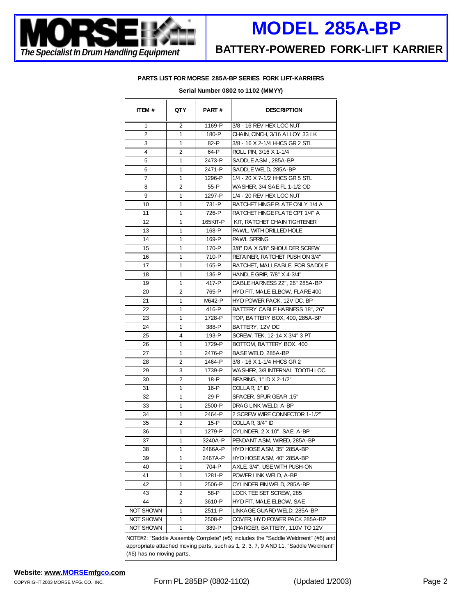

# **MODEL 285A-BP**

#### **PARTS LIST FOR MORSE 285A-BP SERIES FORK LIFT-KARRIERS**

| ITEM #                                                                                                          | QTY | <b>PART#</b> | <b>DESCRIPTION</b>                                                              |
|-----------------------------------------------------------------------------------------------------------------|-----|--------------|---------------------------------------------------------------------------------|
| 1                                                                                                               | 2   | 1169-P       | 3/8 - 16 REV HEX LOC NUT                                                        |
| $\overline{2}$                                                                                                  | 1   | 180-P        | CHAIN, CINCH, 3/16 ALLOY 33 LK                                                  |
| 3                                                                                                               | 1   | 82-P         | 3/8 - 16 X 2-1/4 HHCS GR 2 STL                                                  |
| 4                                                                                                               | 2   | 64-P         | ROLL PIN, 3/16 X 1-1/4                                                          |
| 5                                                                                                               | 1   | 2473-P       | SADDLE ASM, 285A-BP                                                             |
| 6                                                                                                               | 1   | 2471-P       | SADDLE WELD, 285A-BP                                                            |
| 7                                                                                                               | 1   | 1296-P       | 1/4 - 20 X 7-1/2 HHCS GR 5 STL                                                  |
| 8                                                                                                               | 2   | 55-P         | WASHER, 3/4 SAE FL 1-1/2 OD                                                     |
| 9                                                                                                               | 1   | 1297-P       | 1/4 - 20 REV HEX LOC NUT                                                        |
| 10                                                                                                              | 1   | 731-P        | RATCHET HINGE PLATE ONLY 1/4 A                                                  |
| 11                                                                                                              | 1   | 726-P        | RATCHET HINGE PLATE CPT 1/4" A                                                  |
| 12                                                                                                              | 1   | 165KIT-P     | KIT, RATCHET CHAIN TIGHTENER                                                    |
| 13                                                                                                              | 1   | 168-P        | PAWL, WITH DRILLED HOLE                                                         |
| 14                                                                                                              | 1   | 169-P        | <b>PAWL SPRING</b>                                                              |
| 15                                                                                                              | 1   | 170-P        | 3/8" DIA X 5/8" SHOULDER SCREW                                                  |
| 16                                                                                                              | 1   | 710-P        | RETAINER, RATCHET PUSH ON 3/4"                                                  |
| 17                                                                                                              | 1   | 165-P        | RATCHET, MALLEABLE, FOR SADDLE                                                  |
| 18                                                                                                              | 1   | 136-P        | HANDLE GRIP, 7/8" X 4-3/4"                                                      |
| 19                                                                                                              | 1   | 417-P        | CABLE HARNESS 22", 26" 285A-BP                                                  |
| 20                                                                                                              | 2   | 765-P        | HYD FIT, MALE ELBOW, FLARE 400                                                  |
| 21                                                                                                              | 1   | M642-P       | HYD POWER PACK, 12V DC, BP                                                      |
| 22                                                                                                              | 1   | 416-P        | BATTERY CABLE HARNESS 18", 26"                                                  |
| 23                                                                                                              | 1   | 1728-P       | TOP, BATTERY BOX, 400, 285A-BP                                                  |
| 24                                                                                                              | 1   | 388-P        | BATTERY, 12V DC                                                                 |
| 25                                                                                                              | 4   | 193-P        | SCREW, TEK, 12-14 X 3/4" 3 PT                                                   |
| 26                                                                                                              | 1   | 1729-P       | BOTTOM, BATTERY BOX, 400                                                        |
| 27                                                                                                              | 1   | 2476-P       | BASE WELD, 285A-BP                                                              |
| 28                                                                                                              | 2   | 1464-P       | 3/8 - 16 X 1-1/4 HHCS GR 2                                                      |
| 29                                                                                                              | 3   | 1739-P       | WASHER, 3/8 INTERNAL TOOTH LOC                                                  |
| 30                                                                                                              | 2   | 18-P         | BEARING, 1" ID X 2-1/2"                                                         |
| 31                                                                                                              | 1   | 16-P         | COLLAR, 1" ID                                                                   |
| 32                                                                                                              | 1   | 29-P         | SPACER, SPUR GEAR .15"                                                          |
| 33                                                                                                              | 1   | 2500-P       | DRAG LINK WELD, A-BP                                                            |
| 34                                                                                                              | 1   | 2464-P       | 2 SCREW WIRE CONNECTOR 1-1/2"                                                   |
| 35                                                                                                              | 2   | 15-P         | COLLAR, 3/4" ID                                                                 |
| 36                                                                                                              | 1   | 1279-P       | CYLINDER, 2 X 10", SAE, A-BP                                                    |
| 37                                                                                                              | 1   | 3240A-P      | PENDANT ASM, WIRED, 285A-BP                                                     |
| 38                                                                                                              | 1   | 2466A-P      | HYD HOSE ASM, 35" 285A-BP                                                       |
| 39                                                                                                              | 1   | 2467A-P      | HYD HOSE ASM, 40" 285A-BP                                                       |
| 40                                                                                                              | 1   | 704-P        | AXLE, 3/4", USE WITH PUSH-ON                                                    |
| 41                                                                                                              | 1   | 1281-P       | POWER LINK WELD, A-BP                                                           |
| 42                                                                                                              | 1   | 2506-P       | CYLINDER PIN WELD, 285A-BP                                                      |
| 43                                                                                                              | 2   | 58-P         | LOCK TEE SET SCREW, 285                                                         |
| 44                                                                                                              | 2   | 3610-P       | HYD FIT, MALE ELBOW, SAE                                                        |
| NOT SHOWN                                                                                                       | 1   | 2511-P       | LINKAGE GUARD WELD, 285A-BP                                                     |
| NOT SHOWN                                                                                                       | 1   | 2508-P       | COVER, HYD POWER PACK 285A-BP                                                   |
| NOT SHOWN                                                                                                       | 1   | 389-P        | CHARGER, BATTERY, 110V TO 12V                                                   |
|                                                                                                                 |     |              |                                                                                 |
|                                                                                                                 |     |              | NOTE#2: "Saddle Assembly Complete" (#5) includes the "Saddle Weldment" (#6) and |
| appropriate attached moving parts, such as 1, 2, 3, 7, 9 AND 11. "Saddle Weldment"<br>(#6) has no moving parts. |     |              |                                                                                 |

#### **Serial Number 0802 to 1102 (MMYY)**